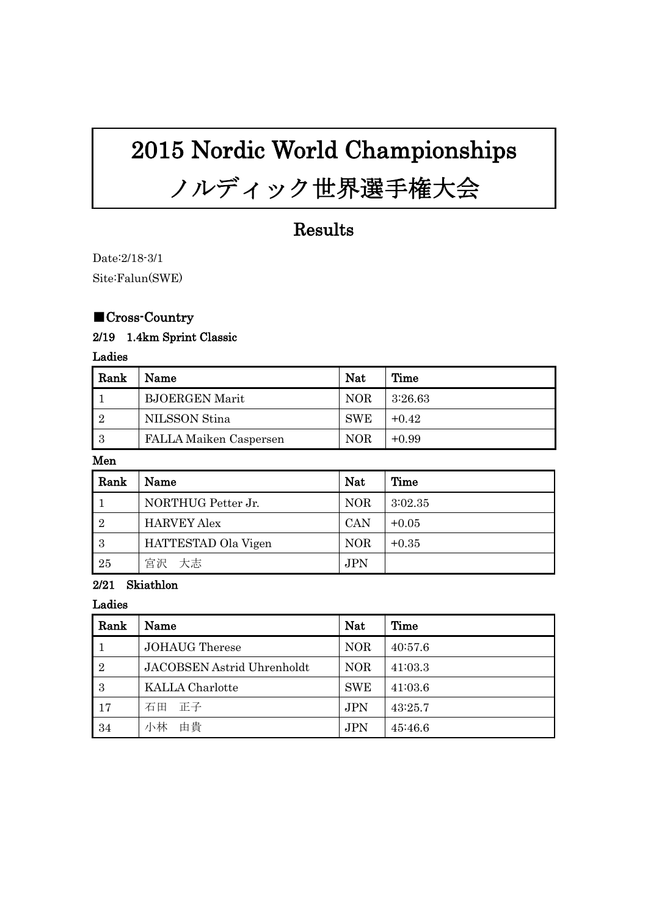# 2015 Nordic World Championships

# ノルディック世界選手権大会

# Results

Date:2/18-3/1 Site:Falun(SWE)

## ■Cross-Country

## 2/19 1.4km Sprint Classic

Ladies

| Rank           | Name                   | <b>Nat</b> | Time    |
|----------------|------------------------|------------|---------|
|                | <b>BJOERGEN Marit</b>  | <b>NOR</b> | 3:26.63 |
| $\overline{2}$ | NILSSON Stina          | <b>SWE</b> | $+0.42$ |
| - 3            | FALLA Maiken Caspersen | <b>NOR</b> | $+0.99$ |

### Men

| Rank           | Name                | <b>Nat</b> | Time    |
|----------------|---------------------|------------|---------|
|                | NORTHUG Petter Jr.  | <b>NOR</b> | 3:02.35 |
| $\overline{2}$ | <b>HARVEY Alex</b>  | <b>CAN</b> | $+0.05$ |
| -3             | HATTESTAD Ola Vigen | <b>NOR</b> | $+0.35$ |
| 25             | 宮沢 大志               | JPN        |         |

#### 2/21 Skiathlon

Ladies

| Rank           | Name                       | <b>Nat</b> | Time    |
|----------------|----------------------------|------------|---------|
|                | <b>JOHAUG</b> Therese      | <b>NOR</b> | 40:57.6 |
| $\overline{2}$ | JACOBSEN Astrid Uhrenholdt | <b>NOR</b> | 41:03.3 |
| -3             | <b>KALLA</b> Charlotte     | <b>SWE</b> | 41:03.6 |
| 17             | 石田 正子                      | <b>JPN</b> | 43:25.7 |
| 34             | 由貴<br>小林                   | <b>JPN</b> | 45:46.6 |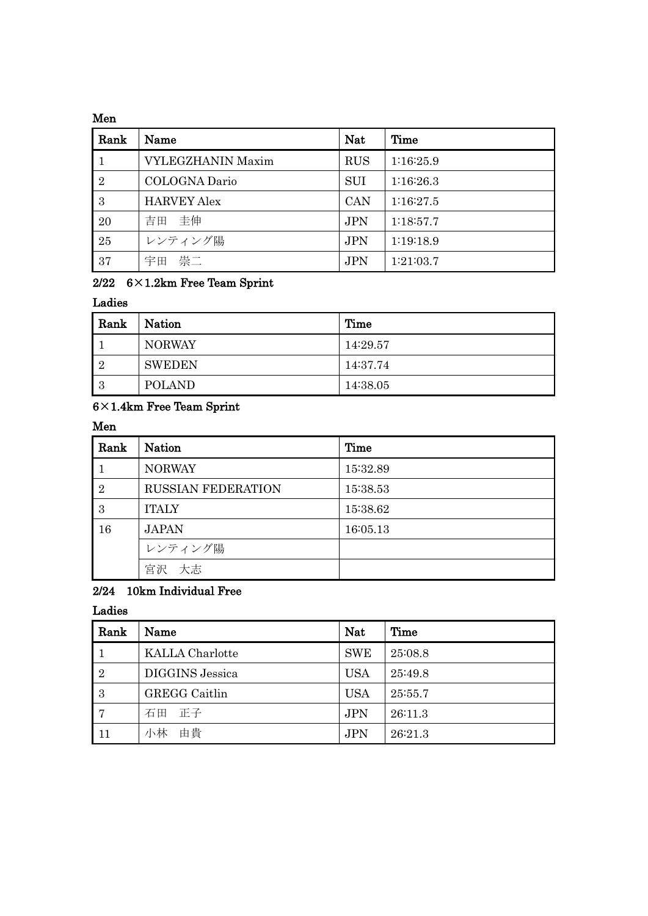#### Men

| Rank           | Name                     | <b>Nat</b> | Time      |
|----------------|--------------------------|------------|-----------|
|                | <b>VYLEGZHANIN Maxim</b> | <b>RUS</b> | 1:16:25.9 |
| $\overline{2}$ | COLOGNA Dario            | <b>SUI</b> | 1:16:26.3 |
| 3              | <b>HARVEY Alex</b>       | <b>CAN</b> | 1:16:27.5 |
| 20             | 吉田 圭伸                    | <b>JPN</b> | 1:18:57.7 |
| 25             | レンティング陽                  | <b>JPN</b> | 1:19:18.9 |
| 37             | 宇田 崇二                    | <b>JPN</b> | 1:21:03.7 |

## 2/22  $6\times1.2$ km Free Team Sprint

## Ladies

| Rank           | <b>Nation</b> | Time     |  |
|----------------|---------------|----------|--|
|                | <b>NORWAY</b> | 14:29.57 |  |
| $\overline{2}$ | <b>SWEDEN</b> | 14:37.74 |  |
| 3              | <b>POLAND</b> | 14:38.05 |  |

## ×1.4km Free Team Sprint

## Men

| Rank           | <b>Nation</b>             | Time     |
|----------------|---------------------------|----------|
|                | <b>NORWAY</b>             | 15:32.89 |
| $\overline{2}$ | <b>RUSSIAN FEDERATION</b> | 15:38.53 |
| 3              | <b>ITALY</b>              | 15:38.62 |
| 16             | <b>JAPAN</b>              | 16:05.13 |
|                | レンティング陽                   |          |
|                | 宮沢 大志                     |          |

## 2/24 10km Individual Free

## Ladies

| Rank           | Name                   | <b>Nat</b> | Time    |
|----------------|------------------------|------------|---------|
|                | <b>KALLA</b> Charlotte | <b>SWE</b> | 25:08.8 |
| $\overline{2}$ | DIGGINS Jessica        | <b>USA</b> | 25:49.8 |
| 3              | <b>GREGG</b> Caitlin   | <b>USA</b> | 25:55.7 |
|                | 正子<br>石田               | <b>JPN</b> | 26:11.3 |
| 11             | 小林<br>由貴               | <b>JPN</b> | 26:21.3 |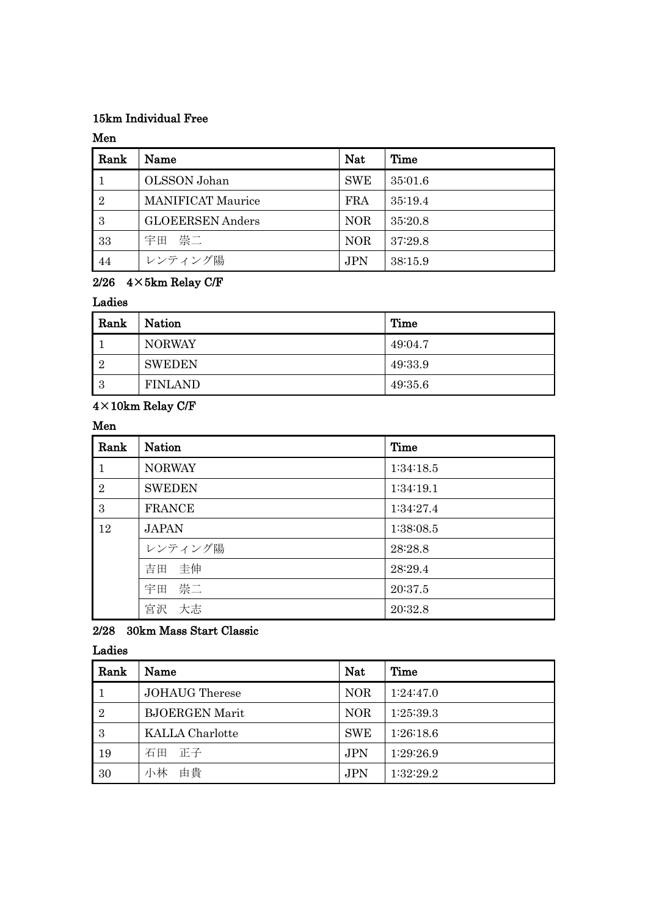## 15km Individual Free

## Men

| Rank           | Name                     | <b>Nat</b> | Time    |
|----------------|--------------------------|------------|---------|
|                | OLSSON Johan             | <b>SWE</b> | 35:01.6 |
| $\overline{2}$ | <b>MANIFICAT Maurice</b> | <b>FRA</b> | 35:19.4 |
| -3             | <b>GLOEERSEN</b> Anders  | <b>NOR</b> | 35:20.8 |
| 33             | 宇田 崇二                    | <b>NOR</b> | 37:29.8 |
| 44             | レンティング陽                  | <b>JPN</b> | 38:15.9 |

## 2/26  $4 \times 5$ km Relay C/F

#### Ladies

| Rank           | <b>Nation</b>  | Time    |
|----------------|----------------|---------|
|                | <b>NORWAY</b>  | 49:04.7 |
| $\overline{2}$ | <b>SWEDEN</b>  | 49:33.9 |
| 3              | <b>FINLAND</b> | 49:35.6 |

## $4\times10\mathrm{km}$  Relay C/F

## Men

| Rank           | <b>Nation</b> | Time      |
|----------------|---------------|-----------|
| $\mathbf{1}$   | <b>NORWAY</b> | 1:34:18.5 |
| $\overline{2}$ | <b>SWEDEN</b> | 1:34:19.1 |
| 3              | <b>FRANCE</b> | 1:34:27.4 |
| 12             | <b>JAPAN</b>  | 1:38:08.5 |
|                | レンティング陽       | 28:28.8   |
|                | 吉田 圭伸         | 28:29.4   |
|                | 宇田 崇二         | 20:37.5   |
|                | 大志<br>宮沢      | 20:32.8   |

## 2/28 30km Mass Start Classic

## Ladies

| Rank           | Name                   | <b>Nat</b> | Time      |
|----------------|------------------------|------------|-----------|
|                | <b>JOHAUG</b> Therese  | <b>NOR</b> | 1:24:47.0 |
| $\overline{2}$ | <b>BJOERGEN Marit</b>  | <b>NOR</b> | 1:25:39.3 |
| -3             | <b>KALLA</b> Charlotte | <b>SWE</b> | 1:26:18.6 |
| 19             | 石田 正子                  | <b>JPN</b> | 1:29:26.9 |
| 30             | 小林<br>由貴               | <b>JPN</b> | 1:32:29.2 |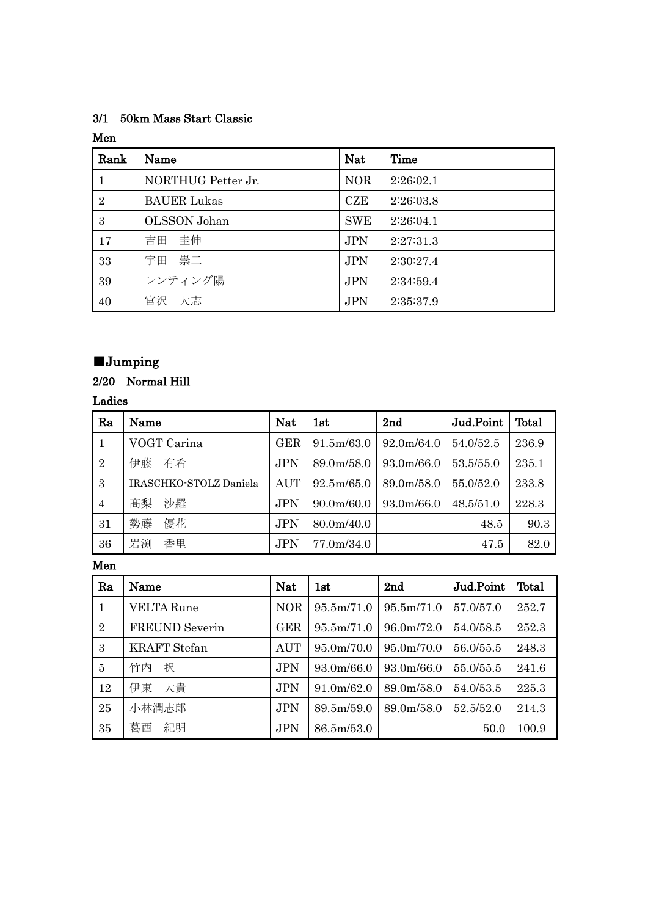## 3/1 50km Mass Start Classic

## Men

| Rank         | Name               | Nat        | Time      |
|--------------|--------------------|------------|-----------|
| $\vert 1$    | NORTHUG Petter Jr. | <b>NOR</b> | 2:26:02.1 |
| <sup>2</sup> | <b>BAUER Lukas</b> | <b>CZE</b> | 2:26:03.8 |
| 3            | OLSSON Johan       | <b>SWE</b> | 2:26:04.1 |
| 17           | 吉田 圭伸              | <b>JPN</b> | 2:27:31.3 |
| 33           | 宇田 崇二              | <b>JPN</b> | 2:30:27.4 |
| 39           | レンティング陽            | <b>JPN</b> | 2:34:59.4 |
| 40           | 宮沢 大志              | <b>JPN</b> | 2:35:37.9 |

## ■Jumping

## 2/20 Normal Hill

## Ladies

| Ra             | Name                   | <b>Nat</b> | 1st        | 2nd        | Jud.Point | Total |
|----------------|------------------------|------------|------------|------------|-----------|-------|
|                | VOGT Carina            | <b>GER</b> | 91.5m/63.0 | 92.0m/64.0 | 54.0/52.5 | 236.9 |
| $\overline{2}$ | 有希<br>伊藤               | <b>JPN</b> | 89.0m/58.0 | 93.0m/66.0 | 53.5/55.0 | 235.1 |
| 3              | IRASCHKO-STOLZ Daniela | <b>AUT</b> | 92.5m/65.0 | 89.0m/58.0 | 55.0/52.0 | 233.8 |
| $\overline{4}$ | 沙羅<br>髙梨               | <b>JPN</b> | 90.0m/60.0 | 93.0m/66.0 | 48.5/51.0 | 228.3 |
| 31             | 勢藤<br>優花               | <b>JPN</b> | 80.0m/40.0 |            | 48.5      | 90.3  |
| 36             | 岩渕<br>香里               | JPN        | 77.0m/34.0 |            | 47.5      | 82.0  |

Men

| Ra             | Name                  | <b>Nat</b> | 1st        | 2nd        | Jud.Point | Total |
|----------------|-----------------------|------------|------------|------------|-----------|-------|
| $\mathbf{1}$   | <b>VELTA Rune</b>     | <b>NOR</b> | 95.5m/71.0 | 95.5m/71.0 | 57.0/57.0 | 252.7 |
| $\overline{2}$ | <b>FREUND</b> Severin | <b>GER</b> | 95.5m/71.0 | 96.0m/72.0 | 54.0/58.5 | 252.3 |
| 3              | <b>KRAFT</b> Stefan   | <b>AUT</b> | 95.0m/70.0 | 95.0m/70.0 | 56.0/55.5 | 248.3 |
| 5              | 竹内<br>択               | <b>JPN</b> | 93.0m/66.0 | 93.0m/66.0 | 55.0/55.5 | 241.6 |
| 12             | 伊東 大貴                 | <b>JPN</b> | 91.0m/62.0 | 89.0m/58.0 | 54.0/53.5 | 225.3 |
| 25             | 小林潤志郎                 | <b>JPN</b> | 89.5m/59.0 | 89.0m/58.0 | 52.5/52.0 | 214.3 |
| 35             | 紀明<br>葛西              | <b>JPN</b> | 86.5m/53.0 |            | 50.0      | 100.9 |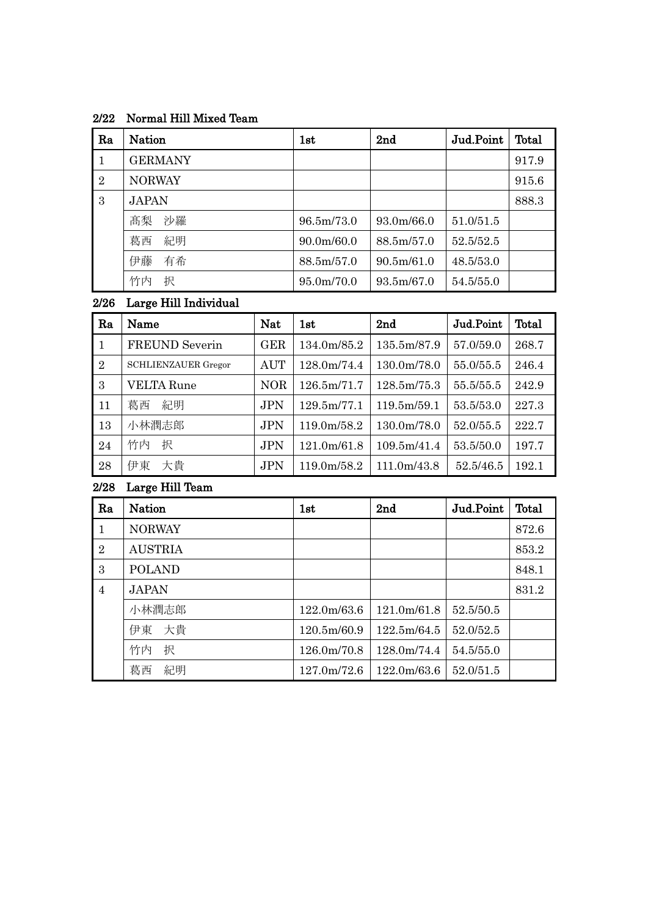## 2/22 Normal Hill Mixed Team

| Ra             | <b>Nation</b>  | 1st                     | 2nd        | Jud.Point | Total |
|----------------|----------------|-------------------------|------------|-----------|-------|
|                | <b>GERMANY</b> |                         |            |           | 917.9 |
| $\overline{2}$ | <b>NORWAY</b>  |                         |            |           | 915.6 |
| 3              | <b>JAPAN</b>   |                         |            |           | 888.3 |
|                | 沙羅<br>髙梨       | 96.5m/73.0              | 93.0m/66.0 | 51.0/51.5 |       |
|                | 紀明<br>葛西       | 90.0 <sub>m</sub> /60.0 | 88.5m/57.0 | 52.5/52.5 |       |
|                | 伊藤<br>有希       | 88.5m/57.0              | 90.5m/61.0 | 48.5/53.0 |       |
|                | 竹内<br>択        | 95.0m/70.0              | 93.5m/67.0 | 54.5/55.0 |       |

## 2/26 Large Hill Individual

| Ra             | Name                       | <b>Nat</b> | 1st         | 2 <sub>nd</sub> | Jud.Point | Total |
|----------------|----------------------------|------------|-------------|-----------------|-----------|-------|
| $\mathbf{1}$   | FREUND Severin             | <b>GER</b> | 134.0m/85.2 | 135.5m/87.9     | 57.0/59.0 | 268.7 |
| $\overline{2}$ | <b>SCHLIENZAUER Gregor</b> | AUT        | 128.0m/74.4 | 130.0m/78.0     | 55.0/55.5 | 246.4 |
| 3              | <b>VELTA Rune</b>          | <b>NOR</b> | 126.5m/71.7 | 128.5m/75.3     | 55.5/55.5 | 242.9 |
| 11             | 葛西<br>紀明                   | <b>JPN</b> | 129.5m/77.1 | 119.5m/59.1     | 53.5/53.0 | 227.3 |
| 13             | 小林潤志郎                      | <b>JPN</b> | 119.0m/58.2 | 130.0m/78.0     | 52.0/55.5 | 222.7 |
| 24             | 竹内<br>択                    | <b>JPN</b> | 121.0m/61.8 | 109.5m/41.4     | 53.5/50.0 | 197.7 |
| 28             | 伊東<br>大貴                   | <b>JPN</b> | 119.0m/58.2 | 111.0m/43.8     | 52.5/46.5 | 192.1 |

## 2/28 Large Hill Team

| Ra             | <b>Nation</b>  | 1st         | 2 <sub>nd</sub> | Jud.Point | Total |
|----------------|----------------|-------------|-----------------|-----------|-------|
| $\mathbf{1}$   | <b>NORWAY</b>  |             |                 |           | 872.6 |
| $\overline{2}$ | <b>AUSTRIA</b> |             |                 |           | 853.2 |
| 3              | <b>POLAND</b>  |             |                 |           | 848.1 |
| $\overline{4}$ | <b>JAPAN</b>   |             |                 |           | 831.2 |
|                | 小林潤志郎          | 122.0m/63.6 | 121.0m/61.8     | 52.5/50.5 |       |
|                | 大貴<br>伊東       | 120.5m/60.9 | 122.5m/64.5     | 52.0/52.5 |       |
|                | 竹内<br>択        | 126.0m/70.8 | 128.0m/74.4     | 54.5/55.0 |       |
|                | 葛西<br>紀明       | 127.0m/72.6 | 122.0m/63.6     | 52.0/51.5 |       |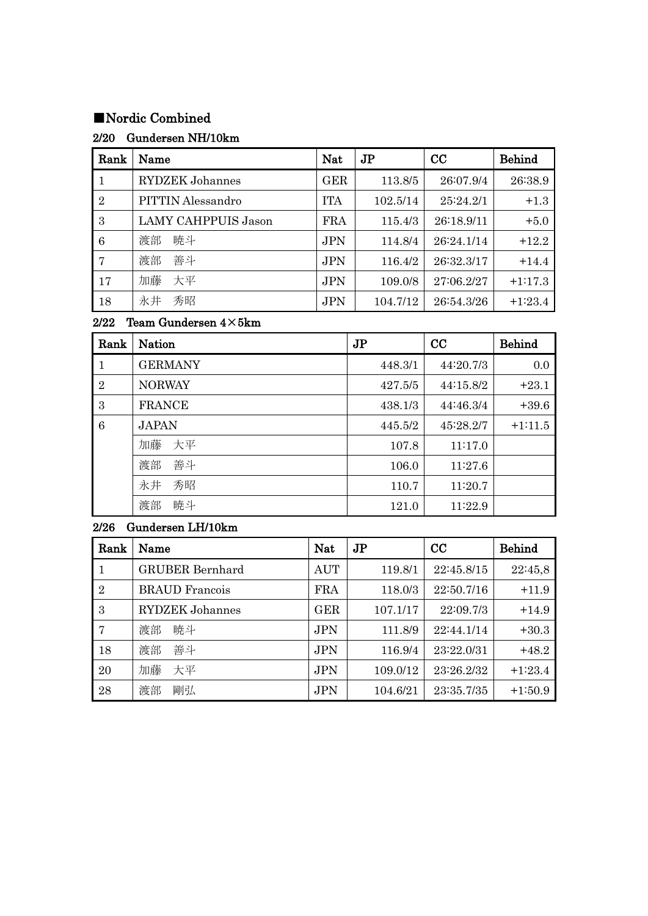## ■Nordic Combined

## 2/20 Gundersen NH/10km

| Rank           | Name                       | <b>Nat</b> | J <sub>P</sub> | CC         | <b>Behind</b> |
|----------------|----------------------------|------------|----------------|------------|---------------|
| $\mathbf{1}$   | <b>RYDZEK</b> Johannes     | <b>GER</b> | 113.8/5        | 26:07.9/4  | 26:38.9       |
| $\overline{2}$ | PITTIN Alessandro          | <b>ITA</b> | 102.5/14       | 25:24.2/1  | $+1.3$        |
| 3              | <b>LAMY CAHPPUIS Jason</b> | <b>FRA</b> | 115.4/3        | 26:18.9/11 | $+5.0$        |
| 6              | 暁斗<br>渡部                   | <b>JPN</b> | 114.8/4        | 26:24.1/14 | $+12.2$       |
| 7              | 善斗<br>渡部                   | <b>JPN</b> | 116.4/2        | 26:32.3/17 | $+14.4$       |
| 17             | 加藤<br>大平                   | <b>JPN</b> | 109.0/8        | 27:06.2/27 | $+1:17.3$     |
| 18             | 永井<br>秀昭                   | <b>JPN</b> | 104.7/12       | 26:54.3/26 | $+1:23.4$     |

## 2/22 Team Gundersen  $4\times5km$

| Rank           | <b>Nation</b>  | J <sub>P</sub> | CC        | <b>Behind</b> |
|----------------|----------------|----------------|-----------|---------------|
| 1              | <b>GERMANY</b> | 448.3/1        | 44:20.7/3 | 0.0           |
| $\overline{2}$ | <b>NORWAY</b>  | 427.5/5        | 44:15.8/2 | $+23.1$       |
| 3              | <b>FRANCE</b>  | 438.1/3        | 44:46.3/4 | $+39.6$       |
| 6              | <b>JAPAN</b>   | 445.5/2        | 45:28.2/7 | $+1:11.5$     |
|                | 加藤<br>大平       | 107.8          | 11:17.0   |               |
|                | 善斗<br>渡部       | 106.0          | 11:27.6   |               |
|                | 永井<br>秀昭       | 110.7          | 11:20.7   |               |
|                | 暁斗<br>渡部       | 121.0          | 11:22.9   |               |

## 2/26 Gundersen LH/10km

| Rank      | Name                   | Nat        | J <sub>P</sub> | cc         | <b>Behind</b> |
|-----------|------------------------|------------|----------------|------------|---------------|
| $\vert$ 1 | <b>GRUBER Bernhard</b> | <b>AUT</b> | 119.8/1        | 22:45.8/15 | 22:45,8       |
| 2         | <b>BRAUD</b> Francois  | <b>FRA</b> | 118.0/3        | 22:50.7/16 | $+11.9$       |
| -3        | <b>RYDZEK</b> Johannes | <b>GER</b> | 107.1/17       | 22:09.7/3  | $+14.9$       |
| 17        | 暁斗<br>渡部               | <b>JPN</b> | 111.8/9        | 22:44.1/14 | $+30.3$       |
| 18        | 善斗<br>渡部               | JPN        | 116.9/4        | 23:22.0/31 | $+48.2$       |
| 20        | 加藤<br>大平               | JPN        | 109.0/12       | 23:26.2/32 | $+1:23.4$     |
| 28        | 渡部<br>剛弘               | <b>JPN</b> | 104.6/21       | 23:35.7/35 | $+1:50.9$     |